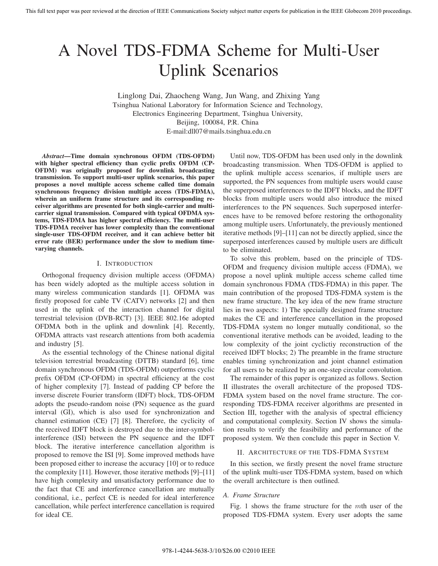# A Novel TDS-FDMA Scheme for Multi-User Uplink Scenarios

Linglong Dai, Zhaocheng Wang, Jun Wang, and Zhixing Yang Tsinghua National Laboratory for Information Science and Technology, Electronics Engineering Department, Tsinghua University, Beijing, 100084, P.R. China E-mail:dll07@mails.tsinghua.edu.cn

*Abstract***—Time domain synchronous OFDM (TDS-OFDM) with higher spectral efficiency than cyclic prefix OFDM (CP-OFDM) was originally proposed for downlink broadcasting transmission. To support multi-user uplink scenarios, this paper proposes a novel multiple access scheme called time domain synchronous frequency division multiple access (TDS-FDMA), wherein an uniform frame structure and its corresponding receiver algorithms are presented for both single-carrier and multicarrier signal transmission. Compared with typical OFDMA systems, TDS-FDMA has higher spectral efficiency. The multi-user TDS-FDMA receiver has lower complexity than the conventional single-user TDS-OFDM receiver, and it can achieve better bit error rate (BER) performance under the slow to medium timevarying channels.**

#### I. INTRODUCTION

Orthogonal frequency division multiple access (OFDMA) has been widely adopted as the multiple access solution in many wireless communication standards [1]. OFDMA was firstly proposed for cable TV (CATV) networks [2] and then used in the uplink of the interaction channel for digital terrestrial television (DVB-RCT) [3]. IEEE 802.16e adopted OFDMA both in the uplink and downlink [4]. Recently, OFDMA attracts vast research attentions from both academia and industry [5].

As the essential technology of the Chinese national digital television terrestrial broadcasting (DTTB) standard [6], time domain synchronous OFDM (TDS-OFDM) outperforms cyclic prefix OFDM (CP-OFDM) in spectral efficiency at the cost of higher complexity [7]. Instead of padding CP before the inverse discrete Fourier transform (IDFT) block, TDS-OFDM adopts the pseudo-random noise (PN) sequence as the guard interval (GI), which is also used for synchronization and channel estimation (CE) [7] [8]. Therefore, the cyclicity of the received IDFT block is destroyed due to the inter-symbolinterference (ISI) between the PN sequence and the IDFT block. The iterative interference cancellation algorithm is proposed to remove the ISI [9]. Some improved methods have been proposed either to increase the accuracy [10] or to reduce the complexity [11]. However, those iterative methods [9]–[11] have high complexity and unsatisfactory performance due to the fact that CE and interference cancellation are mutually conditional, i.e., perfect CE is needed for ideal interference cancellation, while perfect interference cancellation is required for ideal CE.

Until now, TDS-OFDM has been used only in the downlink broadcasting transmission. When TDS-OFDM is applied to the uplink multiple access scenarios, if multiple users are supported, the PN sequences from multiple users would cause the superposed interferences to the IDFT blocks, and the IDFT blocks from multiple users would also introduce the mixed interferences to the PN sequences. Such superposed interferences have to be removed before restoring the orthogonality among multiple users. Unfortunately, the previously mentioned iterative methods [9]–[11] can not be directly applied, since the superposed interferences caused by multiple users are difficult to be eliminated.

To solve this problem, based on the principle of TDS-OFDM and frequency division multiple access (FDMA), we propose a novel uplink multiple access scheme called time domain synchronous FDMA (TDS-FDMA) in this paper. The main contribution of the proposed TDS-FDMA system is the new frame structure. The key idea of the new frame structure lies in two aspects: 1) The specially designed frame structure makes the CE and interference cancellation in the proposed TDS-FDMA system no longer mutually conditional, so the conventional iterative methods can be avoided, leading to the low complexity of the joint cyclictiy reconstruction of the received IDFT blocks; 2) The preamble in the frame structure enables timing synchronization and joint channel estimation for all users to be realized by an one-step circular convolution.

The remainder of this paper is organized as follows. Section II illustrates the overall architecture of the proposed TDS-FDMA system based on the novel frame structure. The corresponding TDS-FDMA receiver algorithms are presented in Section III, together with the analysis of spectral efficiency and computational complexity. Section IV shows the simulation results to verify the feasibility and performance of the proposed system. We then conclude this paper in Section V.

## II. ARCHITECTURE OF THE TDS-FDMA SYSTEM

In this section, we firstly present the novel frame structure of the uplink multi-user TDS-FDMA system, based on which the overall architecture is then outlined.

## *A. Frame Structure*

Fig. 1 shows the frame structure for the mth user of the proposed TDS-FDMA system. Every user adopts the same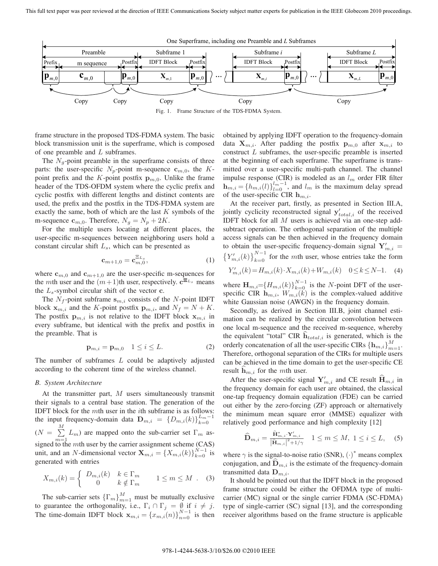

Fig. 1. Frame Structure of the TDS-FDMA System.

frame structure in the proposed TDS-FDMA system. The basic block transmission unit is the superframe, which is composed of one preamble and L subframes.

The  $N<sub>g</sub>$ -point preamble in the superframe consists of three parts: the user-specific  $N_p$ -point m-sequence  $c_{m,0}$ , the Kpoint prefix and the K-point postfix  $\mathbf{p}_{m,0}$ . Unlike the frame header of the TDS-OFDM system where the cyclic prefix and cyclic postfix with different lengths and distinct contents are used, the prefix and the postfix in the TDS-FDMA system are exactly the same, both of which are the last  $K$  symbols of the m-sequence  $\mathbf{c}_{m,0}$ . Therefore,  $N_g = N_p + 2K$ .

For the multiple users locating at different places, the user-specific m-sequences between neighboring users hold a constant circular shift  $L_s$ , which can be presented as

$$
\mathbf{c}_{m+1,0} = \mathbf{c}_{m,0}^{\Xi_{L_s}},\tag{1}
$$

where  $\mathbf{c}_{m,0}$  and  $\mathbf{c}_{m+1,0}$  are the user-specific m-sequences for the *m*th user and the  $(m+1)$ th user, respectively.  $c^{E_{L_s}}$  means the  $L_s$ -symbol circular shift of the vector  $c$ .

The  $N_f$ -point subframe  $\mathbf{s}_{m,i}$  consists of the N-point IDFT block  $\mathbf{x}_{m,i}$  and the K-point postfix  $\mathbf{p}_{m,i}$ , and  $N_f = N + K$ . The postfix  $\mathbf{p}_{m,i}$  is not relative to the IDFT block  $\mathbf{x}_{m,i}$  in every subframe, but identical with the prefix and postfix in the preamble. That is

$$
\mathbf{p}_{m,i} = \mathbf{p}_{m,0} \quad 1 \le i \le L. \tag{2}
$$

The number of subframes  $L$  could be adaptively adjusted according to the coherent time of the wireless channel.

## *B. System Architecture*

At the transmitter part,  $M$  users simultaneously transmit their signals to a central base station. The generation of the IDFT block for the  $m$ th user in the *i*th subframe is as follows: the input frequency-domain data  $\mathbf{D}_{m,i} = \{D_{m,i}(k)\}_{k=0}^{L_m-1}$  $(N = \sum^{M}$  $\sum_{m=1}$   $L_m$ ) are mapped onto the sub-carrier set  $\Gamma_m$  assigned to the mth user by the carrier assignment scheme (CAS) unit, and an N-dimensional vector  $\mathbf{X}_{m,i} = \{X_{m,i}(k)\}_{k=0}^{N-1}$  is generated with entries

$$
X_{m,i}(k) = \begin{cases} D_{m,i}(k) & k \in \Gamma_m \\ 0 & k \notin \Gamma_m \end{cases} \quad 1 \le m \le M \quad (3)
$$

The sub-carrier sets  $\{\Gamma_m\}_{m=1}^M$  must be mutually exclusive to guarantee the orthogonality, i.e.,  $\Gamma_i \cap \Gamma_j = \emptyset$  if  $i \neq j$ . The time-domain IDFT block  $\mathbf{x}_{m,i} = \{x_{m,i}(n)\}_{n=0}^{N-1}$  is then obtained by applying IDFT operation to the frequency-domain data  $\mathbf{X}_{m,i}$ . After padding the postfix  $\mathbf{p}_{m,0}$  after  $\mathbf{x}_{m,i}$  to construct  $L$  subframes, the user-specific preamble is inserted at the beginning of each superframe. The superframe is transmitted over a user-specific multi-path channel. The channel impulse response (CIR) is modeled as an  $l_m$  order FIR filter  $\mathbf{h}_{m,i} = \{h_{m,i}(l)\}_{l=0}^{l_m-1}$ , and  $l_m$  is the maximum delay spread of the user-specific CIR **h** of the user-specific CIR  $h_{m,i}$ .

At the receiver part, firstly, as presented in Section III.A, jointly cyclicity reconstructed signal  $y'_{total,i}$  of the received<br>
IDET block for all M users is achieved via an one-step add-IDFT block for all M users is achieved via an one-step addsubtract operation. The orthogonal separation of the multiple access signals can be then achieved in the frequency domain to obtain the user-specific frequency-domain signal  $Y'_{m,i} =$  $\left\{Y'_{m,i}(k)\right\}_{k=0}^{N-1}$  for the *mth* user, whose entries take the form

$$
Y'_{m,i}(k) = H_{m,i}(k) \cdot X_{m,i}(k) + W_{m,i}(k) \quad 0 \le k \le N-1. \tag{4}
$$

where  $\mathbf{H}_{m,i} = \{H_{m,i}(k)\}_{k=0}^{N-1}$  is the N-point DFT of the user-<br>specific CIR **h** is the complex-valued additive specific CIR  $\mathbf{h}_{m,i}$ ,  $W_{m,i}(\tilde{k})$  is the complex-valued additive white Gaussian noise (AWGN) in the frequency domain.

Secondly, as derived in Section III.B, joint channel estimation can be realized by the circular convolution between one local m-sequence and the received m-sequence, whereby the equivalent "total" CIR  $\mathbf{h}_{total,i}$  is generated, which is the orderly concatenation of all the user-specific CIRs  $\{\mathbf{h}_{m,i}\}_{m=1}^{M}$ .<br>Therefore, orthogonal separation of the CIRs for multiple users Therefore, orthogonal separation of the CIRs for multiple users can be achieved in the time domain to get the user-specific CE result  $\mathbf{h}_{m,i}$  for the *mth* user.

After the user-specific signal  $Y'_{m,i}$  and CE result  $H_{m,i}$  in the frequency domain for each user are obtained, the classical one-tap frequency domain equalization (FDE) can be carried out either by the zero-forcing (ZF) approach or alternatively the minimum mean square error (MMSE) equalizer with relatively good performance and high complexity [12]

$$
\widehat{\mathbf{D}}_{m,i} = \frac{\widehat{\mathbf{H}}_{m,i}^* \cdot \mathbf{Y}_{m,i}'}{|\widehat{\mathbf{H}}_{m,i}|^2 + 1/\gamma} \quad 1 \le m \le M, \ 1 \le i \le L, \quad (5)
$$

where  $\gamma$  is the signal-to-noise ratio (SNR),  $(\cdot)^*$  means complex conjugation, and  $\mathbf{D}_{m,i}$  is the estimate of the frequency-domain transmitted data  $\mathbf{D}_{m,i}$ .

It should be pointed out that the IDFT block in the proposed frame structure could be either the OFDMA type of multicarrier (MC) signal or the single carrier FDMA (SC-FDMA) type of single-carrier (SC) signal [13], and the corresponding receiver algorithms based on the frame structure is applicable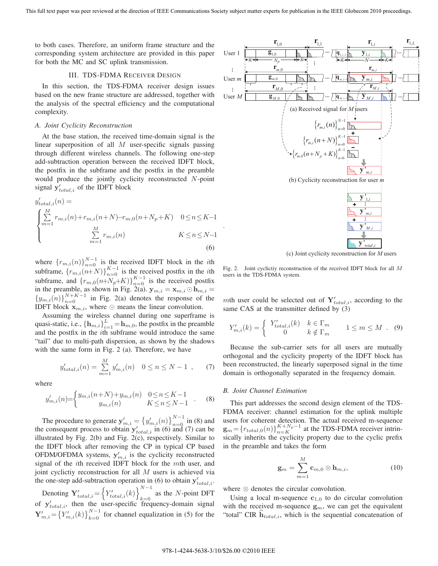to both cases. Therefore, an uniform frame structure and the corresponding system architecture are provided in this paper for both the MC and SC uplink transmission.

## III. TDS-FDMA RECEIVER DESIGN

In this section, the TDS-FDMA receiver design issues based on the new frame structure are addressed, together with the analysis of the spectral efficiency and the computational complexity.

#### *A. Joint Cyclicity Reconstruction*

At the base station, the received time-domain signal is the linear superposition of all  $M$  user-specific signals passing through different wireless channels. The following one-step add-subtraction operation between the received IDFT block, the postfix in the subframe and the postfix in the preamble would produce the jointly cyclicity reconstructed N-point signal  $y'_{total,i}$  of the IDFT block

$$
y'_{total,i}(n) = \begin{cases} \sum_{m=1}^{M} r_{m,i}(n) + r_{m,i}(n+N) - r_{m,0}(n+N_p+K) & 0 \le n \le K-1\\ \sum_{m=1}^{M} r_{m,i}(n) & K \le n \le N-1 \end{cases}
$$
(6)

where  $\{r_{m,i}(n)\}_{n=0}^{N-1}$  is the received IDFT block in the *i*th subframe,  $\{r_{m,i}(n+N)\}_{n=0}^{K-1}$  is the received postfix in the *i*th subframe, and  $\{r_{m,0}(n+N_p+K)\}_{n=0}^{K-1}$  is the received postfix in the preamble, as shown in Fig. 2(a).  $\mathbf{y}_{m,i} = \mathbf{x}_{m,i} \odot \mathbf{h}_{m,i} =$  ${y_{m,i}(n)}_{n=0}^{N+K-1}$  in Fig. 2(a) denotes the response of the **IDFT** block  $\mathbf{x}_{m,i}$ , where  $\odot$  means the linear convolution.

Assuming the wireless channel during one superframe is quasi-static, i.e.,  $\left\{ \mathbf{h}_{m,i} \right\}_{i=1}^{L} = \mathbf{h}_{m,0}$ , the postfix in the preamble<br>and the postfix in the *i*th subframe would introduce the same and the postfix in the ith subframe would introduce the same "tail" due to multi-path dispersion, as shown by the shadows with the same form in Fig. 2 (a). Therefore, we have

$$
y'_{total,i}(n) = \sum_{m=1}^{M} y'_{m,i}(n) \quad 0 \le n \le N - 1 \quad , \tag{7}
$$

where

$$
y'_{m,i}(n) = \begin{cases} y_{m,i}(n+N) + y_{m,i}(n) & 0 \le n \le K-1 \\ y_{m,i}(n) & K \le n \le N-1 \end{cases} . \tag{8}
$$

The procedure to generate  $y'_{m,i} = \{y'_{m,i}(n)\}_{n=0}^{N-1}$  in (8) and<br>
n consequent process to obtain  $y'_{m,i}$  in (6) and (7) can be the consequent process to obtain  $y'_{total,i}$  in (6) and (7) can be illustrated by Fig. 2(b) and Fig. 2(c) respectively. Similar to illustrated by Fig. 2(b) and Fig. 2(c), respectively. Similar to the IDFT block after removing the CP in typical CP based OFDM/OFDMA systems,  $y'_{m,i}$  is the cyclicity reconstructed<br>signal of the *i*th received IDET block for the *m*th user, and signal of the ith received IDFT block for the mth user, and joint cyclictiy reconstruction for all  $M$  users is achieved via the one-step add-subtraction operation in (6) to obtain  $y'_{total,i}$ .

Denoting  $\mathbf{Y}'_{total,i} = \left\{ Y'_{total,i}(k) \right\}_{k=0}^{N-1}$ as the N-point DFT of  $\mathbf{y}'_{total,i}$ , then the user-specific frequency-domain signal<br>  $\mathbf{y}'_{total,i} = \left(\mathbf{x}'(t), \mathbf{y}'(t)\right)^{N-1}$  $\mathbf{Y}'_{m,i} = \left\{ Y'_{m,i}(k) \right\}_{k=0}^{N-1}$  for channel equalization in (5) for the



Fig. 2. Joint cyclictiy reconstruction of the received IDFT block for all *M* users in the TDS-FDMA system.

mth user could be selected out of  $Y'_{total,i}$ , according to the same CAS at the transmitter defined by (3) same CAS at the transmitter defined by (3)

$$
Y'_{m,i}(k) = \begin{cases} Y'_{total,i}(k) & k \in \Gamma_m \\ 0 & k \notin \Gamma_m \end{cases} \quad 1 \le m \le M \quad (9)
$$

Because the sub-carrier sets for all users are mutually orthogonal and the cyclicity property of the IDFT block has been reconstructed, the linearly superposed signal in the time domain is orthogonally separated in the frequency domain.

#### *B. Joint Channel Estimation*

This part addresses the second design element of the TDS-FDMA receiver: channel estimation for the uplink multiple users for coherent detection. The actual received m-sequence  $\mathbf{g}_m = \{r_{total,0}(n)\}_{n=K}^{K+N_p-1}$  at the TDS-FDMA receiver intrin-<br>sically inherits the evolicity property due to the evolic prefix sically inherits the cyclicity property due to the cyclic prefix in the preamble and takes the form

$$
\mathbf{g}_m = \sum_{m=1}^M \mathbf{c}_{m,0} \otimes \mathbf{h}_{m,i},\tag{10}
$$

where ⊗ denotes the circular convolution.

Using a local m-sequence  $c_{1,0}$  to do circular convolution with the received m-sequence  $g_m$ , we can get the equivalent "total" CIR  $\mathbf{h}_{total,i}$ , which is the sequential concatenation of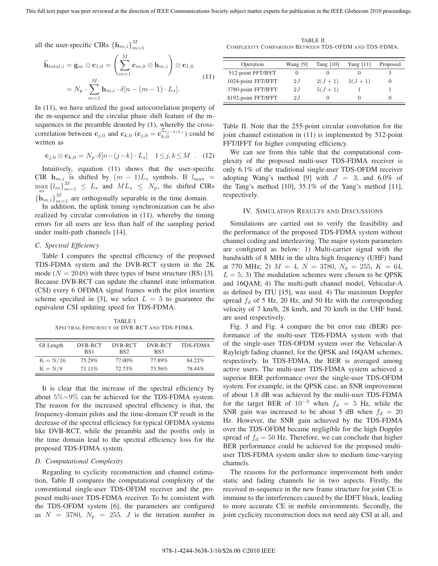all the user-specific CIRs  ${\{\mathbf h}_{m,i}\}_{m}^{M}$  $m=1$ 

$$
\widehat{\mathbf{h}}_{total,i} = \mathbf{g}_m \otimes \mathbf{c}_{1,0} = \left(\sum_{m=1}^M \mathbf{c}_{m,0} \otimes \mathbf{h}_{m,i}\right) \otimes \mathbf{c}_{1,0}
$$
\n
$$
= N_p \cdot \sum_{m=1}^M \mathbf{h}_{m,i} \cdot \delta[n - (m-1) \cdot L_s].
$$
\n(11)

In (11), we have utilized the good autocorrelation property of the m-sequence and the circular phase shift feature of the msequences in the preamble denoted by (1), whereby the crosscorrelation between **c**<sub>*j*,0</sub> and **c**<sub>*k*,0</sub> (**c**<sub>*j*,0</sub> = **c**<sub>*k*,0</sub><sup> $\Xi$ </sup>(*j*−*k*)*Ls*</sub>) could be written as written as

$$
\mathbf{c}_{j,0} \otimes \mathbf{c}_{k,0} = N_p \cdot \delta[n-(j-k)\cdot L_s] \quad 1 \leq j, k \leq M \quad . \quad (12)
$$

Intuitively, equation (11) shows that the user-specific CIR  $h_{m,i}$  is shifted by  $(m-1)L_s$  symbols. If  $l_{\text{max}} =$ <br>max  $(l-1)M \leq l$  and  $M_l \leq N$  denotes the CIP  $\max_{m} \{l_m\}_{m=1}^{M} \leq L_s$  and  $ML_s \leq N_p$ , the shifted CIRs  ${\bf h}_{m,i}$ ,  $M_{m=1}$  are orthogonally separable in the time domain.<br>In addition, the unlink timing synchronization can be all

In addition, the uplink timing synchronization can be also realized by circular convolution in (11), whereby the timing errors for all users are less than half of the sampling period under multi-path channels [14].

## *C. Spectral Efficiency*

Table I compares the spectral efficiency of the proposed TDS-FDMA system and the DVB-RCT system in the 2K mode ( $N = 2048$ ) with three types of burst structure (BS) [3]. Because DVB-RCT can update the channel state information (CSI) every 6 OFDMA signal frames with the pilot insertion scheme specified in [3], we select  $L = 5$  to guarantee the equivalent CSI updating speed for TDS-FDMA.

TABLE I SPECTRAL EFFICIENCY OF DVR-RCT AND TDS-FDMA.

| GI Length  | DVR-RCT<br>BS <sub>1</sub> | DVR-RCT<br>BS <sub>2</sub> | DVR-RCT<br>BS3 | <b>TDS-FDMA</b> |
|------------|----------------------------|----------------------------|----------------|-----------------|
| $K = N/16$ | 75.29%                     | 77.00%                     | 77.89%         | 84.22%          |
| $K = N/8$  | $71.11\%$                  | 72.73%                     | 73.56%         | 78.44%          |

It is clear that the increase of the spectral efficiency by about 5%∼9% can be achieved for the TDS-FDMA system. The reason for the increased spectral efficiency is that, the frequency-domain pilots and the time-domain CP result in the decrease of the spectral efficiency for typical OFDMA systems like DVB-RCT, while the preamble and the postfix only in the time domain lead to the spectral efficiency loss for the proposed TDS-FDMA system.

#### *D. Computational Complexity*

Regarding to cyclicity reconstruction and channel estimation, Table II compares the computational complexity of the conventional single-user TDS-OFDM receiver and the proposed multi-user TDS-FDMA receiver. To be consistent with the TDS-OFDM system [6], the parameters are configured as  $N = 3780$ ,  $N_p = 255$ . J is the iteration number in

TABLE II COMPLEXITY COMPARISON BETWEEN TDS-OFDM AND TDS-FDMA.

| Operation           | Wang [9] | Tang $[10]$ | Yang $[11]$ | Proposed |
|---------------------|----------|-------------|-------------|----------|
| 512-point FFT/IFFT  |          |             |             |          |
| 1024-point FFT/IFFT | 2.I      | $2(J+1)$    | $3(J+1)$    |          |
| 3780-point FFT/IFFT | 2.I      | $5(J+1)$    |             |          |
| 8192-point FFT/IFFT | 2.I      |             | $\lceil$    |          |

Table II. Note that the 255-point circular convolution for the joint channel estimation in (11) is implemented by 512-point FFT/IFFT for higher computing efficiency.

We can see from this table that the computational complexity of the proposed multi-user TDS-FDMA receiver is only 6.1% of the traditional single-user TDS-OFDM receiver adopting Wang's method [9] with  $J = 3$ , and 6.0% of the Tang's method [10], 35.1% of the Yang's method [11], respectively.

## IV. SIMULATION RESULTS AND DISCUSSIONS

Simulations are carried out to verify the feasibility and the performance of the proposed TDS-FDMA system without channel coding and interleaving. The major system parameters are configured as below: 1) Multi-carrier signal with the bandwidth of 8 MHz in the ultra high frequency (UHF) band at 770 MHz; 2)  $M = 4$ ,  $N = 3780$ ,  $N_p = 255$ ,  $K = 64$ ,  $L = 5$ ; 3) The modulation schemes were chosen to be QPSK and 16QAM; 4) The multi-path channel model, Vehicular-A as defined by ITU [15], was used. 4) The maximum Doppler spread  $f_d$  of 5 Hz, 20 Hz, and 50 Hz with the corresponding velocity of 7 km/h, 28 km/h, and 70 km/h in the UHF band, are used respectively.

Fig. 3 and Fig. 4 compare the bit error rate (BER) performance of the multi-user TDS-FDMA system with that of the single-user TDS-OFDM system over the Vehicular-A Rayleigh fading channel, for the QPSK and 16QAM schemes, respectively. In TDS-FDMA, the BER is averaged among active users. The multi-user TDS-FDMA system achieved a superior BER performance over the single-user TDS-OFDM system. For example, in the QPSK case, an SNR improvement of about 1.8 dB was achieved by the multi-user TDS-FDMA for the target BER of  $10^{-3}$  when  $f_d = 5$  Hz, while the SNR gain was increased to be about 5 dB when  $f_d = 20$ Hz. However, the SNR gain achieved by the TDS-FDMA over the TDS-OFDM became negligible for the high Doppler spread of  $f_d = 50$  Hz. Therefore, we can conclude that higher BER performance could be achieved for the proposed multiuser TDS-FDMA system under slow to medium time-varying channels.

The reasons for the performance improvement both under static and fading channels lie in two aspects. Firstly, the received m-sequence in the new frame structure for joint CE is immune to the interferences caused by the IDFT block, leading to more accurate CE in mobile environments. Secondly, the joint cyclicity reconstruction does not need any CSI at all, and